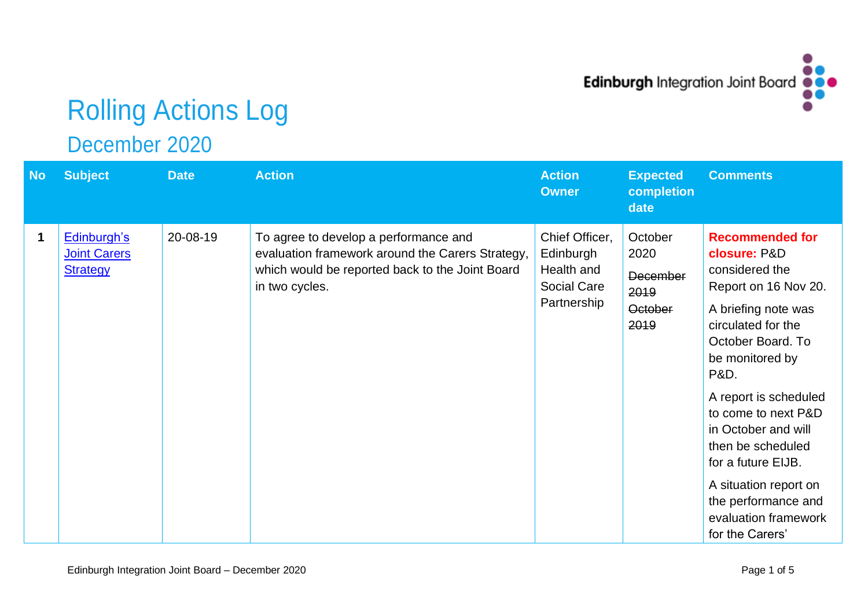

## Rolling Actions Log

December 2020

| <b>No</b> | <b>Subject</b>                                        | <b>Date</b> | <b>Action</b>                                                                                                                                                  | <b>Action</b><br><b>Owner</b>                                                  | <b>Expected</b><br>completion<br>date                                | <b>Comments</b>                                                                                                                                                                                                                                                                                                                                                                                       |
|-----------|-------------------------------------------------------|-------------|----------------------------------------------------------------------------------------------------------------------------------------------------------------|--------------------------------------------------------------------------------|----------------------------------------------------------------------|-------------------------------------------------------------------------------------------------------------------------------------------------------------------------------------------------------------------------------------------------------------------------------------------------------------------------------------------------------------------------------------------------------|
| 1         | Edinburgh's<br><b>Joint Carers</b><br><b>Strategy</b> | 20-08-19    | To agree to develop a performance and<br>evaluation framework around the Carers Strategy,<br>which would be reported back to the Joint Board<br>in two cycles. | Chief Officer,<br>Edinburgh<br>Health and<br><b>Social Care</b><br>Partnership | October<br>2020<br><b>December</b><br>2019<br><b>October</b><br>2019 | <b>Recommended for</b><br>closure: P&D<br>considered the<br>Report on 16 Nov 20.<br>A briefing note was<br>circulated for the<br>October Board. To<br>be monitored by<br><b>P&amp;D.</b><br>A report is scheduled<br>to come to next P&D<br>in October and will<br>then be scheduled<br>for a future EIJB.<br>A situation report on<br>the performance and<br>evaluation framework<br>for the Carers' |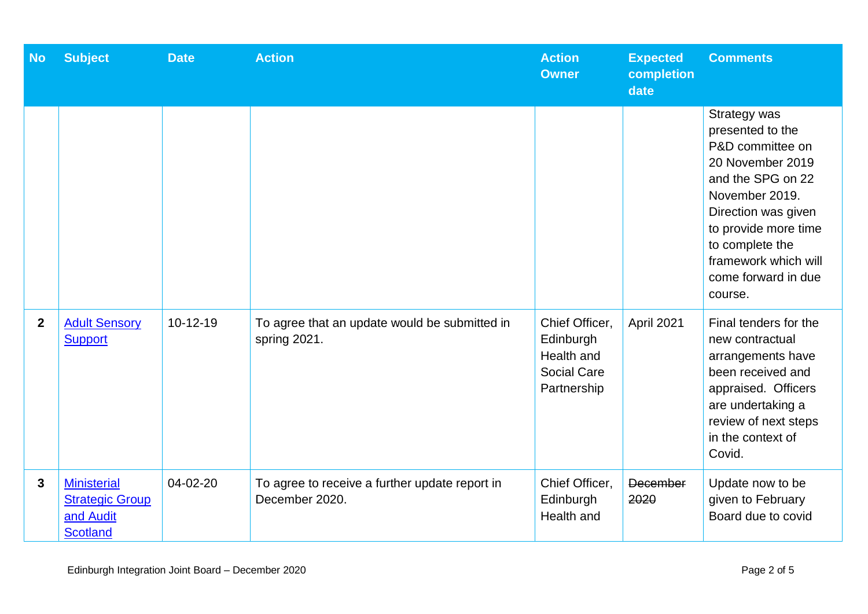| <b>No</b>    | <b>Subject</b>                                                               | <b>Date</b> | <b>Action</b>                                                    | <b>Action</b><br><b>Owner</b>                                                  | <b>Expected</b><br>completion<br>date | <b>Comments</b>                                                                                                                                                                                                                             |
|--------------|------------------------------------------------------------------------------|-------------|------------------------------------------------------------------|--------------------------------------------------------------------------------|---------------------------------------|---------------------------------------------------------------------------------------------------------------------------------------------------------------------------------------------------------------------------------------------|
|              |                                                                              |             |                                                                  |                                                                                |                                       | Strategy was<br>presented to the<br>P&D committee on<br>20 November 2019<br>and the SPG on 22<br>November 2019.<br>Direction was given<br>to provide more time<br>to complete the<br>framework which will<br>come forward in due<br>course. |
| $\mathbf{2}$ | <b>Adult Sensory</b><br><b>Support</b>                                       | $10-12-19$  | To agree that an update would be submitted in<br>spring 2021.    | Chief Officer,<br>Edinburgh<br>Health and<br><b>Social Care</b><br>Partnership | April 2021                            | Final tenders for the<br>new contractual<br>arrangements have<br>been received and<br>appraised. Officers<br>are undertaking a<br>review of next steps<br>in the context of<br>Covid.                                                       |
| 3            | <b>Ministerial</b><br><b>Strategic Group</b><br>and Audit<br><b>Scotland</b> | 04-02-20    | To agree to receive a further update report in<br>December 2020. | Chief Officer,<br>Edinburgh<br>Health and                                      | December<br>2020                      | Update now to be<br>given to February<br>Board due to covid                                                                                                                                                                                 |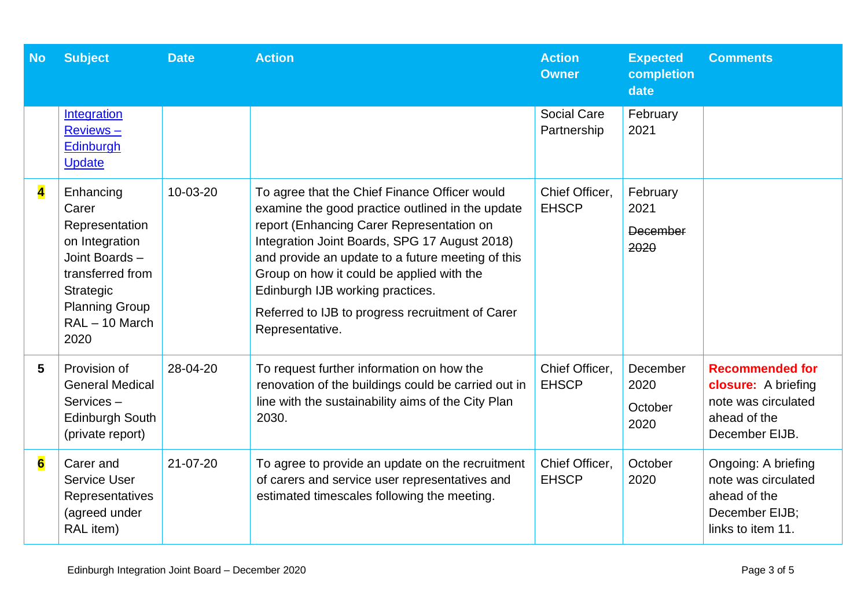| <b>No</b>               | <b>Subject</b>                                                                                                                                             | <b>Date</b>    | <b>Action</b>                                                                                                                                                                                                                                                                                                                                                                                                | <b>Action</b><br><b>Owner</b>     | <b>Expected</b><br>completion<br>date | <b>Comments</b>                                                                                        |
|-------------------------|------------------------------------------------------------------------------------------------------------------------------------------------------------|----------------|--------------------------------------------------------------------------------------------------------------------------------------------------------------------------------------------------------------------------------------------------------------------------------------------------------------------------------------------------------------------------------------------------------------|-----------------------------------|---------------------------------------|--------------------------------------------------------------------------------------------------------|
|                         | Integration<br>Reviews-<br>Edinburgh<br><b>Update</b>                                                                                                      |                |                                                                                                                                                                                                                                                                                                                                                                                                              | <b>Social Care</b><br>Partnership | February<br>2021                      |                                                                                                        |
| $\overline{\mathbf{4}}$ | Enhancing<br>Carer<br>Representation<br>on Integration<br>Joint Boards -<br>transferred from<br>Strategic<br><b>Planning Group</b><br>RAL-10 March<br>2020 | 10-03-20       | To agree that the Chief Finance Officer would<br>examine the good practice outlined in the update<br>report (Enhancing Carer Representation on<br>Integration Joint Boards, SPG 17 August 2018)<br>and provide an update to a future meeting of this<br>Group on how it could be applied with the<br>Edinburgh IJB working practices.<br>Referred to IJB to progress recruitment of Carer<br>Representative. | Chief Officer,<br><b>EHSCP</b>    | February<br>2021<br>December<br>2020  |                                                                                                        |
| 5                       | Provision of<br><b>General Medical</b><br>Services-<br><b>Edinburgh South</b><br>(private report)                                                          | 28-04-20       | To request further information on how the<br>renovation of the buildings could be carried out in<br>line with the sustainability aims of the City Plan<br>2030.                                                                                                                                                                                                                                              | Chief Officer,<br><b>EHSCP</b>    | December<br>2020<br>October<br>2020   | <b>Recommended for</b><br>closure: A briefing<br>note was circulated<br>ahead of the<br>December EIJB. |
| $\overline{\mathbf{6}}$ | Carer and<br>Service User<br>Representatives<br>(agreed under<br>RAL item)                                                                                 | $21 - 07 - 20$ | To agree to provide an update on the recruitment<br>of carers and service user representatives and<br>estimated timescales following the meeting.                                                                                                                                                                                                                                                            | Chief Officer,<br><b>EHSCP</b>    | October<br>2020                       | Ongoing: A briefing<br>note was circulated<br>ahead of the<br>December EIJB;<br>links to item 11.      |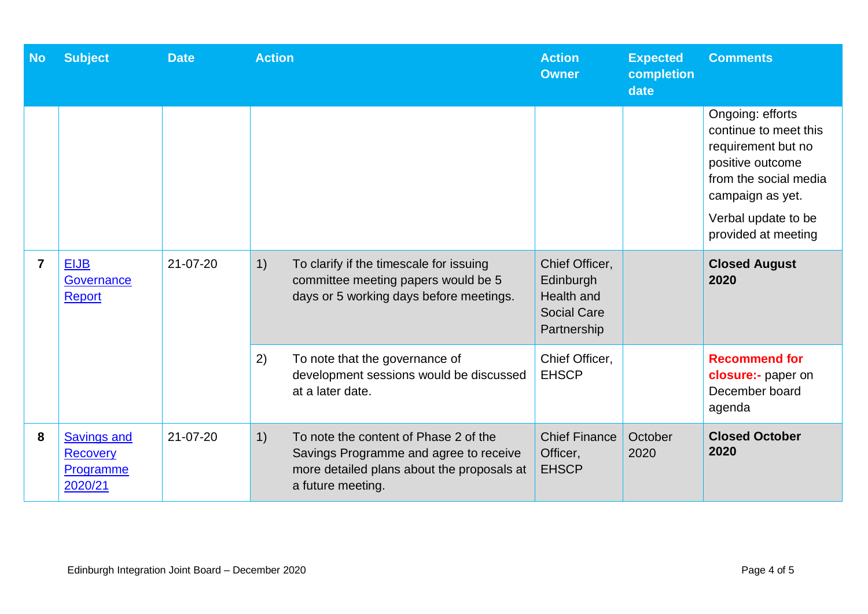| <b>No</b>      | <b>Subject</b>                                                | <b>Date</b> | <b>Action</b>                                                                                                                                            | <b>Action</b><br><b>Owner</b>                                                  | <b>Expected</b><br>completion<br>date | <b>Comments</b>                                                                                                                                                                |
|----------------|---------------------------------------------------------------|-------------|----------------------------------------------------------------------------------------------------------------------------------------------------------|--------------------------------------------------------------------------------|---------------------------------------|--------------------------------------------------------------------------------------------------------------------------------------------------------------------------------|
|                |                                                               |             |                                                                                                                                                          |                                                                                |                                       | Ongoing: efforts<br>continue to meet this<br>requirement but no<br>positive outcome<br>from the social media<br>campaign as yet.<br>Verbal update to be<br>provided at meeting |
| $\overline{7}$ | <b>EIJB</b><br>Governance<br><b>Report</b>                    | 21-07-20    | 1)<br>To clarify if the timescale for issuing<br>committee meeting papers would be 5<br>days or 5 working days before meetings.                          | Chief Officer,<br>Edinburgh<br>Health and<br><b>Social Care</b><br>Partnership |                                       | <b>Closed August</b><br>2020                                                                                                                                                   |
|                |                                                               |             | 2)<br>To note that the governance of<br>development sessions would be discussed<br>at a later date.                                                      | Chief Officer,<br><b>EHSCP</b>                                                 |                                       | <b>Recommend for</b><br>closure:- paper on<br>December board<br>agenda                                                                                                         |
| 8              | <b>Savings and</b><br><b>Recovery</b><br>Programme<br>2020/21 | 21-07-20    | 1)<br>To note the content of Phase 2 of the<br>Savings Programme and agree to receive<br>more detailed plans about the proposals at<br>a future meeting. | <b>Chief Finance</b><br>Officer,<br><b>EHSCP</b>                               | October<br>2020                       | <b>Closed October</b><br>2020                                                                                                                                                  |